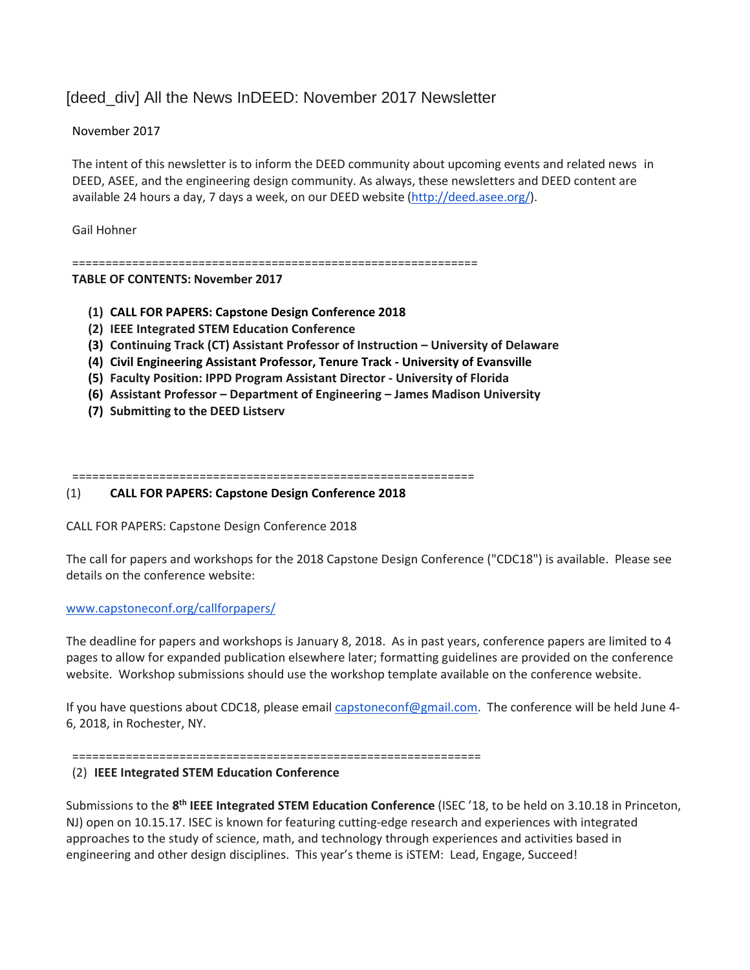# [deed\_div] All the News InDEED: November 2017 Newsletter

# November 2017

The intent of this newsletter is to inform the DEED community about upcoming events and related news in DEED, ASEE, and the engineering design community. As always, these newsletters and DEED content are available 24 hours a day, 7 days a week, on our DEED website [\(http://deed.asee.org/\)](http://deed.asee.org/).

Gail Hohner

=============================================================

### **TABLE OF CONTENTS: November 2017**

- **(1) CALL FOR PAPERS: Capstone Design Conference 2018**
- **(2) IEEE Integrated STEM Education Conference**
- **(3) Continuing Track (CT) Assistant Professor of Instruction – University of Delaware**
- **(4) Civil Engineering Assistant Professor, Tenure Track - University of Evansville**
- **(5) Faculty Position: IPPD Program Assistant Director - University of Florida**
- **(6) Assistant Professor – Department of Engineering – James Madison University**
- **(7) Submitting to the DEED Listserv**

============================================================

# (1) **CALL FOR PAPERS: Capstone Design Conference 2018**

CALL FOR PAPERS: Capstone Design Conference 2018

The call for papers and workshops for the 2018 Capstone Design Conference ("CDC18") is available. Please see details on the conference website:

# [www.capstoneconf.org/callforpapers/](http://www.capstoneconf.org/callforpapers/)

The deadline for papers and workshops is January 8, 2018. As in past years, conference papers are limited to 4 pages to allow for expanded publication elsewhere later; formatting guidelines are provided on the conference website. Workshop submissions should use the workshop template available on the conference website.

If you have questions about CDC18, please email [capstoneconf@gmail.com.](mailto:capstoneconf@gmail.com) The conference will be held June 4- 6, 2018, in Rochester, NY.

=============================================================

# (2) **IEEE Integrated STEM Education Conference**

Submissions to the **8th IEEE Integrated STEM Education Conference** (ISEC '18, to be held on 3.10.18 in Princeton, NJ) open on 10.15.17. ISEC is known for featuring cutting-edge research and experiences with integrated approaches to the study of science, math, and technology through experiences and activities based in engineering and other design disciplines. This year's theme is iSTEM: Lead, Engage, Succeed!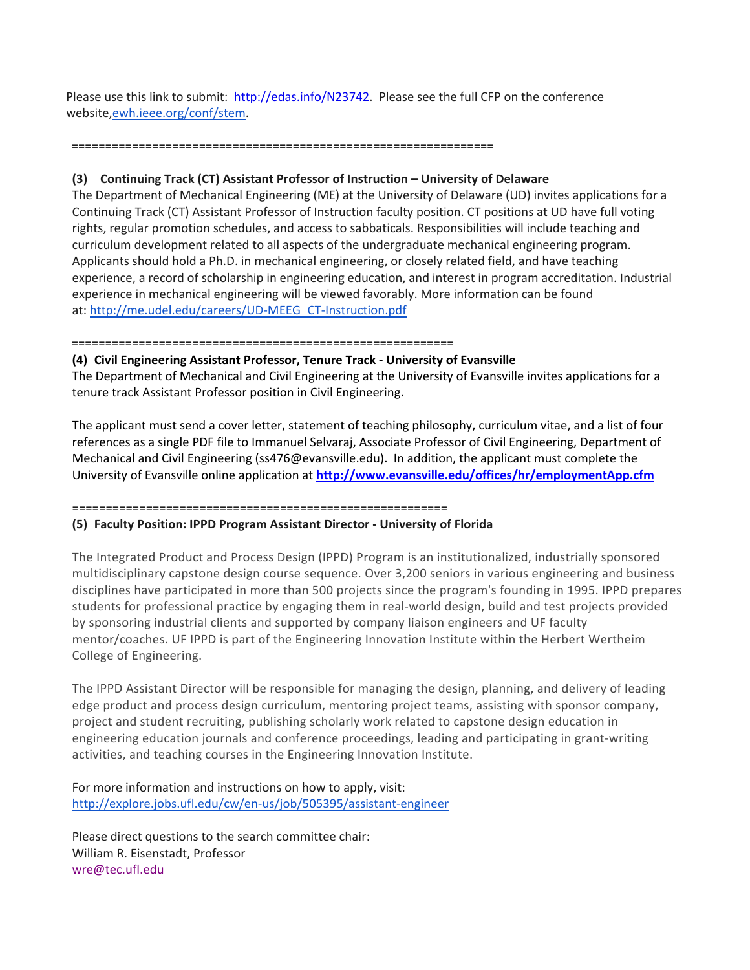Please use this link to submit: [http://edas.info/N23742.](http://edas.info/N23742) Please see the full CFP on the conference website[,ewh.ieee.org/conf/stem.](http://ewh.ieee.org/conf/stem)

#### ===============================================================

### **(3) Continuing Track (CT) Assistant Professor of Instruction – University of Delaware**

The Department of Mechanical Engineering (ME) at the University of Delaware (UD) invites applications for a Continuing Track (CT) Assistant Professor of Instruction faculty position. CT positions at UD have full voting rights, regular promotion schedules, and access to sabbaticals. Responsibilities will include teaching and curriculum development related to all aspects of the undergraduate mechanical engineering program. Applicants should hold a Ph.D. in mechanical engineering, or closely related field, and have teaching experience, a record of scholarship in engineering education, and interest in program accreditation. Industrial experience in mechanical engineering will be viewed favorably. More information can be found at: [http://me.udel.edu/careers/UD-MEEG\\_CT-Instruction.pdf](http://me.udel.edu/careers/UD-MEEG_CT-Instruction.pdf)

#### =========================================================

#### **(4) Civil Engineering Assistant Professor, Tenure Track - University of Evansville**

The Department of Mechanical and Civil Engineering at the University of Evansville invites applications for a tenure track Assistant Professor position in Civil Engineering.

The applicant must send a cover letter, statement of teaching philosophy, curriculum vitae, and a list of four references as a single PDF file to Immanuel Selvaraj, Associate Professor of Civil Engineering, Department of Mechanical and Civil Engineering (ss476@evansville.edu). In addition, the applicant must complete the University of Evansville online application at **<http://www.evansville.edu/offices/hr/employmentApp.cfm>**

# ========================================================

#### **(5) Faculty Position: IPPD Program Assistant Director - University of Florida**

The Integrated Product and Process Design (IPPD) Program is an institutionalized, industrially sponsored multidisciplinary capstone design course sequence. Over 3,200 seniors in various engineering and business disciplines have participated in more than 500 projects since the program's founding in 1995. IPPD prepares students for professional practice by engaging them in real-world design, build and test projects provided by sponsoring industrial clients and supported by company liaison engineers and UF faculty mentor/coaches. UF IPPD is part of the Engineering Innovation Institute within the Herbert Wertheim College of Engineering.

The IPPD Assistant Director will be responsible for managing the design, planning, and delivery of leading edge product and process design curriculum, mentoring project teams, assisting with sponsor company, project and student recruiting, publishing scholarly work related to capstone design education in engineering education journals and conference proceedings, leading and participating in grant-writing activities, and teaching courses in the Engineering Innovation Institute.

# For more information and instructions on how to apply, visit: <http://explore.jobs.ufl.edu/cw/en-us/job/505395/assistant-engineer>

Please direct questions to the search committee chair: William R. Eisenstadt, Professor [wre@tec.ufl.edu](mailto:wre@tec.ufl.edu)